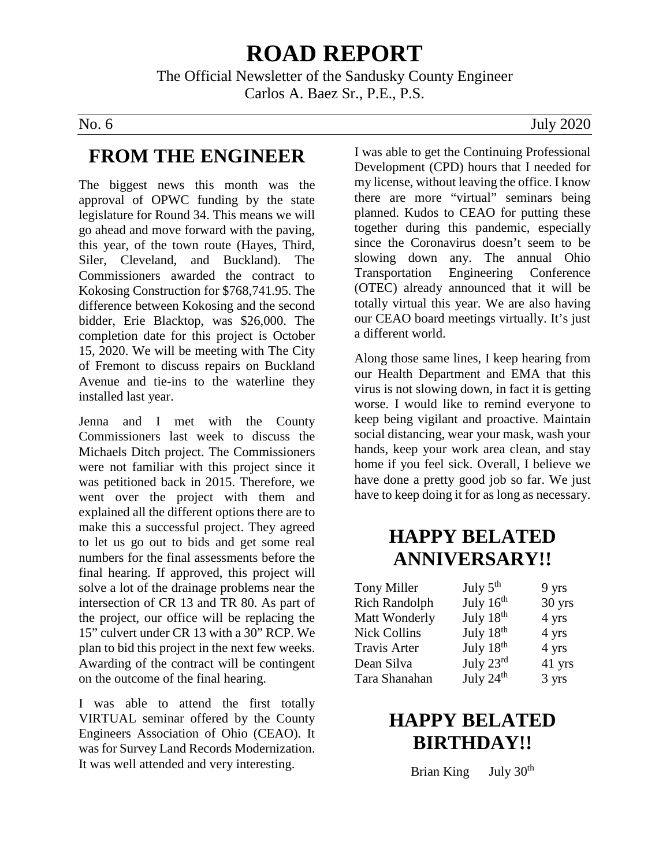# **ROAD REPORT**

The Official Newsletter of the Sandusky County Engineer Carlos A. Baez Sr., P.E., P.S.

### **FROM THE ENGINEER**

The biggest news this month was the approval of OPWC funding by the state legislature for Round 34. This means we will go ahead and move forward with the paving, this year, of the town route (Hayes, Third, Siler, Cleveland, and Buckland). The Commissioners awarded the contract to Kokosing Construction for \$768,741.95. The difference between Kokosing and the second bidder, Erie Blacktop, was \$26,000. The completion date for this project is October 15, 2020. We will be meeting with The City of Fremont to discuss repairs on Buckland Avenue and tie-ins to the waterline they installed last year.

Jenna and I met with the County Commissioners last week to discuss the Michaels Ditch project. The Commissioners were not familiar with this project since it was petitioned back in 2015. Therefore, we went over the project with them and explained all the different options there are to make this a successful project. They agreed to let us go out to bids and get some real numbers for the final assessments before the final hearing. If approved, this project will solve a lot of the drainage problems near the intersection of CR 13 and TR 80. As part of the project, our office will be replacing the 15" culvert under CR 13 with a 30" RCP. We plan to bid this project in the next few weeks. Awarding of the contract will be contingent on the outcome of the final hearing.

I was able to attend the first totally VIRTUAL seminar offered by the County Engineers Association of Ohio (CEAO). It was for Survey Land Records Modernization. It was well attended and very interesting.

No. 6 July 2020

I was able to get the Continuing Professional Development (CPD) hours that I needed for my license, without leaving the office. I know there are more "virtual" seminars being planned. Kudos to CEAO for putting these together during this pandemic, especially since the Coronavirus doesn't seem to be slowing down any. The annual Ohio Transportation Engineering Conference (OTEC) already announced that it will be totally virtual this year. We are also having our CEAO board meetings virtually. It's just a different world.

Along those same lines, I keep hearing from our Health Department and EMA that this virus is not slowing down, in fact it is getting worse. I would like to remind everyone to keep being vigilant and proactive. Maintain social distancing, wear your mask, wash your hands, keep your work area clean, and stay home if you feel sick. Overall, I believe we have done a pretty good job so far. We just have to keep doing it for as long as necessary.

## **HAPPY BELATED ANNIVERSARY!!**

| Tony Miller          | July $5th$            | 9 yrs  |
|----------------------|-----------------------|--------|
| <b>Rich Randolph</b> | July 16 <sup>th</sup> | 30 yrs |
| Matt Wonderly        | July 18 <sup>th</sup> | 4 yrs  |
| <b>Nick Collins</b>  | July 18 <sup>th</sup> | 4 yrs  |
| <b>Travis Arter</b>  | July 18 <sup>th</sup> | 4 yrs  |
| Dean Silva           | July $23^{\text{rd}}$ | 41 yrs |
| Tara Shanahan        | July 24 <sup>th</sup> | 3 yrs  |

## **HAPPY BELATED BIRTHDAY!!**

Brian King July 30<sup>th</sup>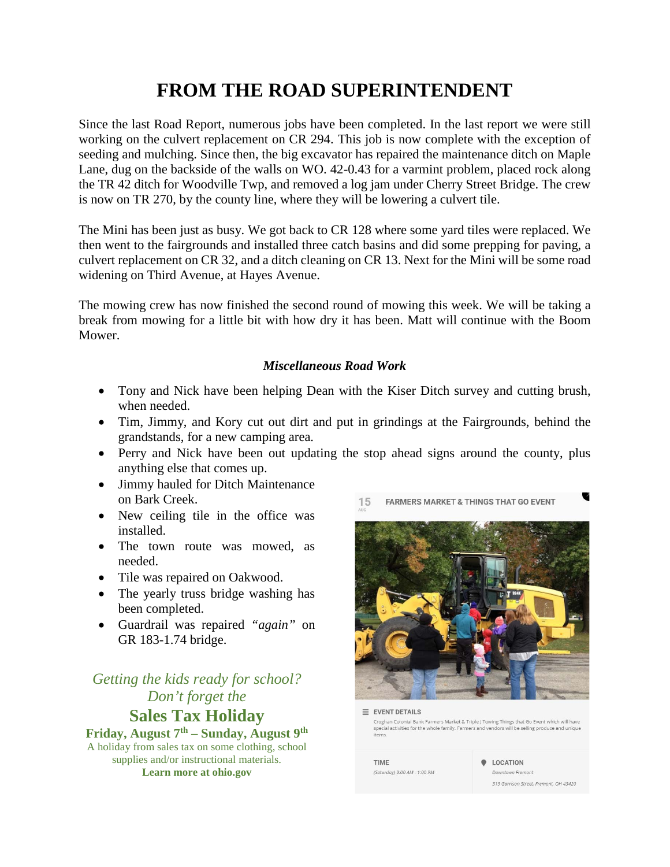## **FROM THE ROAD SUPERINTENDENT**

Since the last Road Report, numerous jobs have been completed. In the last report we were still working on the culvert replacement on CR 294. This job is now complete with the exception of seeding and mulching. Since then, the big excavator has repaired the maintenance ditch on Maple Lane, dug on the backside of the walls on WO. 42-0.43 for a varmint problem, placed rock along the TR 42 ditch for Woodville Twp, and removed a log jam under Cherry Street Bridge. The crew is now on TR 270, by the county line, where they will be lowering a culvert tile.

The Mini has been just as busy. We got back to CR 128 where some yard tiles were replaced. We then went to the fairgrounds and installed three catch basins and did some prepping for paving, a culvert replacement on CR 32, and a ditch cleaning on CR 13. Next for the Mini will be some road widening on Third Avenue, at Hayes Avenue.

The mowing crew has now finished the second round of mowing this week. We will be taking a break from mowing for a little bit with how dry it has been. Matt will continue with the Boom Mower.

### *Miscellaneous Road Work*

- Tony and Nick have been helping Dean with the Kiser Ditch survey and cutting brush, when needed.
- Tim, Jimmy, and Kory cut out dirt and put in grindings at the Fairgrounds, behind the grandstands, for a new camping area.
- Perry and Nick have been out updating the stop ahead signs around the county, plus anything else that comes up.
- Jimmy hauled for Ditch Maintenance on Bark Creek.
- New ceiling tile in the office was installed.
- The town route was mowed, as needed.
- Tile was repaired on Oakwood.
- The yearly truss bridge washing has been completed.
- Guardrail was repaired *"again"* on GR 183-1.74 bridge.

### *Getting the kids ready for school? Don't forget the* **Sales Tax Holiday**

**Friday, August 7th – Sunday, August 9th** A holiday from sales tax on some clothing, school supplies and/or instructional materials. **Learn more at ohio.gov**



 $\equiv$  EVENT DETAILS Croghan Colonial Bank Farmers Market & Triple J Towing Things that Go Event which will have special activities for the whole family. Farmers and vendors will be selling produce and uniqu items.

**TIME** (Saturday) 9:00 AM - 1:00 PM **Q** LOCATION Downtown Fremont

315 Garrison Street, Fremont, OH 43420

V